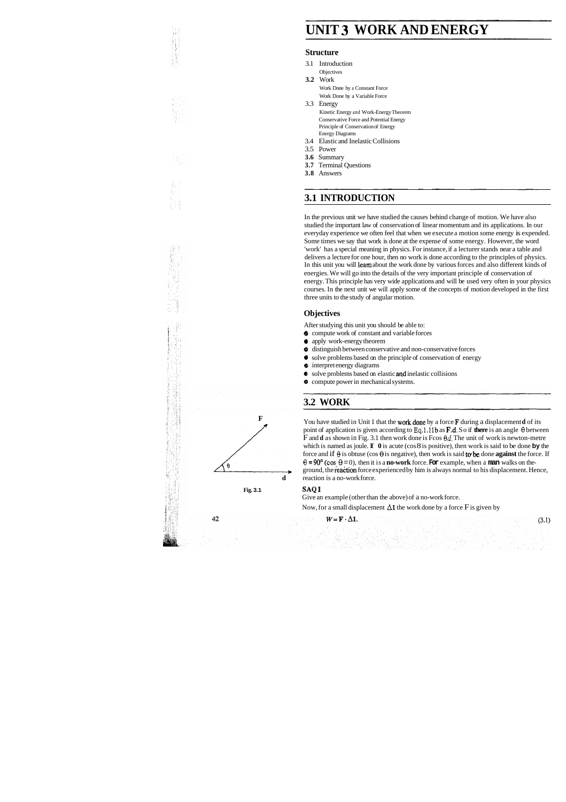# **UNIT 3 WORK AND ENERGY**

#### **Structure**

- 3.1 Introduction
	- **Objectives**
- **3.2** Work Work Done by a Constant Force Work Done hy a Variable Force
- 3.3 Energy Kinetic Energy and Work-Energy Theorem Conservative Force and Potential Energy Principle of Conservation of Energy Energy Diagrams
- 3.4 Elastic and Inelastic Collisions
- 3.5 Power
- **3.6** Summary
- **3.7** Terminal Questions
- **3.8** Answers

# **3.1 INTRODUCTION**

In the previous unit we have studied the causes behind change of motion. We have also studied the important law of conservation of linear momentum and its applications. In our everyday experience we often feel that when we execute a motion some energy is expended. Some times we say that work is done at the expense of some energy. However, the word 'work' has a special meaning in physics. For instance, if a lecturer stands near a table and delivers a lecture for one hour, then no work is done according to the principles of physics. In this unit you will learn about the work done by various forces and also different kinds of energies. We will go into the details of the very important principle of conservation of energy. This principle has very wide applications and will be used very often in your physics courses. In the next unit we will apply some of the concepts of motion developed in the first three units to the study of angular motion.

### **Objectives**

After studying this unit you should be able to:

- $\bullet$  compute work of constant and variable forces
- **Q** apply work-energy theorem
- **0** distinguish between conservative and non-conservative forces
- **0** solve problems based on the principle of conservation of energy
- $\bullet$  interpret energy diagrams
- $\bullet$  solve problems based on elastic and inelastic collisions
- $\bullet$  compute power in mechanical systems.

# **3.2 WORK**

**↓** distinguish between conservative and non-conservative forces<br>
■ solve problems based on the principle of conservation of energy<br>
■ interpret energy diagrams<br>
■ compute power in mechanical systems.<br>
■ compute power i F and **d** as shown in Fig. 3.1 then work done is Fcos **0d.** The unit of work is newton-metre which is named as joule. If **0** is acute (cos 8 is positive), then work is said to be done **by** the force and if  $\theta$  is obtuse (cos  $\theta$  is negative), then work is said to be done **against** the force. If  $\theta = 90^{\circ}$  (cos  $\theta = 0$ ), then it is a **no-work** force. For example, when a man walks on theground, the ieaction force experienced by him is always normal to his displacement. Hence, **d** reaction is a no-work force.

### **Fig. 3.1 SAQ 1**

Give an example (other than the above) of a no-work force.

Now, for a small displacement  $\Delta 1$  the work done by a force F is given by

ing<br>Santan Pol

 $W = \mathbf{F} \cdot \Delta \mathbf{1}$ .



 $42$ 

 $(3.1)$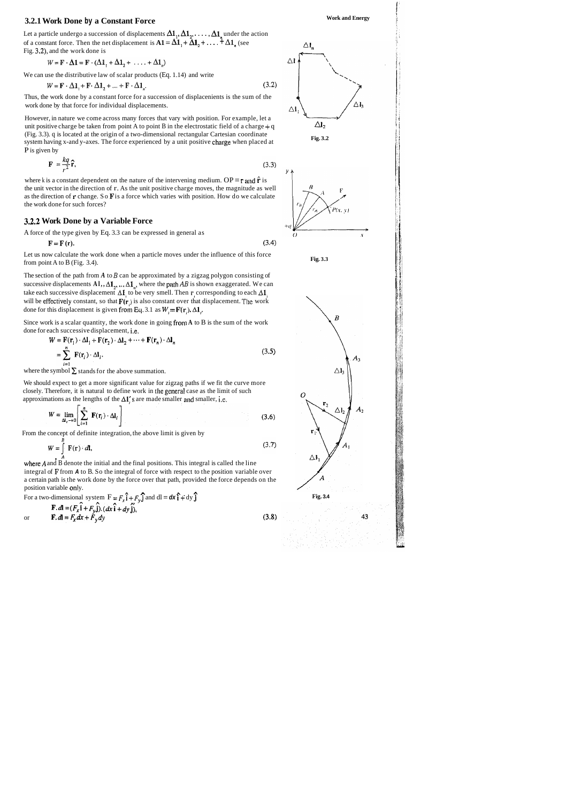# **3.2.1 Work Done by a Constant Force Work and Energy <b>All 2018** Work and Energy

Let a particle undergo a succession of displacements  $\Delta 1_1, \Delta 1_2, \ldots, \Delta 1_n$  under the action of a constant force. Then the net displacement is  $A1 = \Delta 1$ ,  $\vdots$   $\Delta 1$ ,  $\vdots$   $\ddots$   $\ddagger$   $\Delta 1$ , (see Fig. 3.2), and the work done is

$$
W = \mathbf{F} \cdot \Delta \mathbf{1} = \mathbf{F} \cdot (\Delta \mathbf{1}_1 + \Delta \mathbf{1}_2 + \ldots + \Delta \mathbf{1}_n)
$$

However, in nature we come across many forces that vary with position. For example, let a unit positive charge be taken from point A to point B in the electrostatic field of a charge + q (Fig. 3.3). q is located at the origin of a two-dimensional rectangular Cartesian coordinate system having x-and y-axes. The force experienced by a unit positive charge when placed at P is given by

$$
\mathbf{F} = \frac{kq}{r^2}\hat{\mathbf{r}},\tag{3.3}
$$

We can use the distributive law of scalar products (Eq. 1.14) and write

$$
W = \mathbf{F} \cdot \Delta \mathbf{1}_1 + \mathbf{F} \cdot \Delta \mathbf{1}_2 + \dots + \mathbf{F} \cdot \Delta \mathbf{1}_n. \tag{3.2}
$$

Thus, the work done by a constant force for a succession of displacenients is the sum of the work done by that force for individual displacements.

where k is a constant dependent on the nature of the intervening medium.  $OP = r$  and  $\hat{r}$  is the unit vector in the direction of r. As the unit positive charge moves, the magnitude as well as the direction of **r** change. So **F** is a force which varies with position. How do we calculate the work done for such forces?

The section of the path from *A* to *B* can be approximated by a zigzag polygon consisting of successive displacements  $A1, A1, \ldots A1$ , where the path AB is shown exaggerated. We can take each successive displacement  $\Delta \mathbf{I}$  to be very smell. Then r, corresponding to each  $\Delta \mathbf{I}$ , will be effectively constant, so that  $F(r_i)$  is also constant over that displacement. The work done for this displacement is given from Eq. 3.1 as  $W = F(r)$ .  $\Delta 1$ .

#### **3.2.2 Work Done by a Variable Force**

integral of **F** from **A** to B. So the integral of force with respect to the position variable over a certain path is the work done by the force over that path, provided the force depends on the position variable only.

A force of the type given by Eq. 3.3 can be expressed in general as

$$
\mathbf{F} = \mathbf{F}(\mathbf{r}).\tag{3.4}
$$

Let us now calculate the work done when a particle moves under the influence of this force from point A to B (Fig. 3.4).

Since work is a scalar quantity, the work done in going from **A** to B is the sum of the work done for each successive displacement, i.e.

$$
W = \mathbf{F}(\mathbf{r}_1) \cdot \Delta \mathbf{l}_1 + \mathbf{F}(\mathbf{r}_2) \cdot \Delta \mathbf{l}_2 + \dots + \mathbf{F}(\mathbf{r}_n) \cdot \Delta \mathbf{l}_n
$$
  
= 
$$
\sum_{i=1}^n \mathbf{F}(\mathbf{r}_i) \cdot \Delta \mathbf{l}_i.
$$
 (3.5)

where the symbol  $\Sigma$  stands for the above summation.

We should expect to get a more significant value for zigzag paths if we fit the curve more closely. Therefore, it is natural to define work in the general case as the limit of such approximations as the lengths of the  $\Delta l$ , s are made smaller and smaller, i.e.

$$
W = \lim_{\Delta l_i \to 0} \left[ \sum_{i=1}^n \mathbf{F}(\mathbf{r}_i) \cdot \Delta l_i \right]
$$
 (3.6)

From the concept of definite integration, the above limit is given by

$$
W = \int_{A}^{A} \mathbf{F}(\mathbf{r}) \cdot d\mathbf{l},
$$
  
where *A* and *B* denote the initial and the final positions. This integral is called the line

For a two-dimensional system 
$$
\mathbf{F} = F_x \hat{\mathbf{i}} + F_y \hat{\mathbf{j}}
$$
 and  $d\mathbf{l} = d\mathbf{x} \hat{\mathbf{i}} + dy \hat{\mathbf{j}}$   
\n**F.**  $d\mathbf{l} = (F_x \hat{\mathbf{i}} + F_y \hat{\mathbf{j}}) \cdot (d\mathbf{x} \hat{\mathbf{i}} + d\mathbf{y} \hat{\mathbf{j}}),$   
\nor  $\mathbf{F} \cdot d\mathbf{l} = F_x dx + F_y dy$  (3.8)







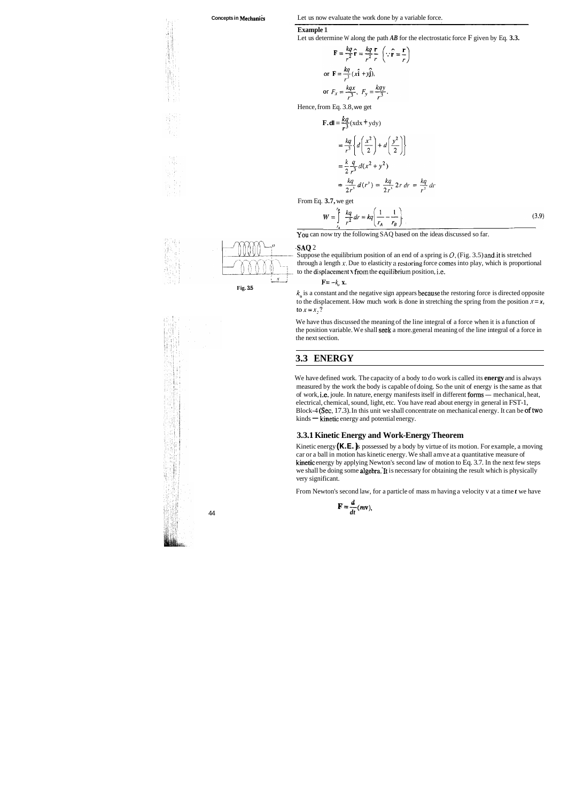#### **Example** 1

**Concepts in Mechanics** Let us now evaluate the work done by a variable force.<br> **Example 1**<br>
Let us determine W along the path *AR* for the electrostatic force E given by Let us determine W along the path *AB* for the electrostatic force F given by Eq. **3.3.** 

$$
\mathbf{F} = \frac{kq}{r^2} \hat{\mathbf{r}} = \frac{kq}{r^2} \frac{\mathbf{r}}{r} \quad (\because \hat{\mathbf{r}} = \frac{\mathbf{r}}{r}
$$
\n
$$
\text{or } \mathbf{F} = \frac{kq}{r^3} (x \hat{\mathbf{i}} + y \hat{\mathbf{j}}),
$$
\n
$$
\text{or } F_x = \frac{kqx}{r^3}, \quad F_y = \frac{kqy}{r^3}.
$$
\n
$$
\text{from Eq. 3.8, we get}
$$

Hence, from Eq. 3.8, we get

$$
\mathbf{F} \cdot \mathbf{dl} = \frac{kq}{r^3} (x \, dx + y \, dy)
$$
\n
$$
= \frac{kq}{r^3} \left\{ d \left( \frac{x^2}{2} \right) + d \left( \frac{y^2}{2} \right) \right\}
$$
\n
$$
= \frac{k}{2} \frac{q}{r^3} d(x^2 + y^2)
$$
\n
$$
= \frac{kq}{2r^3} d(r^2) = \frac{kq}{2r^3} 2r dr = \frac{kq}{r^2} dr
$$
\n3.7. We get

From Eq. **3.7,** we get

$$
W = \int_{r_A}^{r_B} \frac{kq}{r^2} dr = kq \left( \frac{1}{r_A} - \frac{1}{r_B} \right).
$$
 (3.9)

You can now try the following SAQ based on the ideas discussed so far.

#### **-SAQ** 2

Suppose the equilibrium position of an end of a spring is  $O$ , (Fig. 3.5) and it is stretched through a length *x*. Due to elasticity a restoring force comes into play, which is proportional to the displacement **x** from the equilibrium position, i.e.

 $k_{\alpha}$  is a constant and the negative sign appears because the restoring force is directed opposite to the displacement. How much work is done in stretching the spring from the position  $\mathbf{x} = \mathbf{x}$ , to  $x=x_1$ ?

We have defined work. The capacity of a body to do work is called its **energy** and is always measured by the work the body is capable of doing. So the unit of energy is the same as that of work, i.e. joule. In nature, energy manifests itself in different forms — mechanical, heat, electrical, chemical, sound, light, etc. You have read about energy in general in FST-1, Block-4 (Sec. 17.3). In this unit we shall concentrate on mechanical energy. It can be of two kinds - kinetic energy and potential energy.



We have thus discussed the meaning of the line integral of a force when it is a function of the position variable. We shall seek a more. general meaning of the line integral of a force in the next section.

Kinetic energy (**K.E.**) is possessed by a body by virtue of its motion. For example, a moving car or a ball in motion has kinetic energy. We shall amve at a quantitative measure of kinetic energy by applying Newton's second law of motion to Eq. 3.7. In the next few steps we shall be doing some algebra.'It is necessary for obtaining the result which is physically very significant.

## **3.3 ENERGY**

### **3.3.1 Kinetic Energy and Work-Energy Theorem**

From Newton's second law, for a particle of mass m having a velocity v at a time *t* we have

$$
\mathbf{F} = \frac{d}{dt} (m\mathbf{v}),
$$

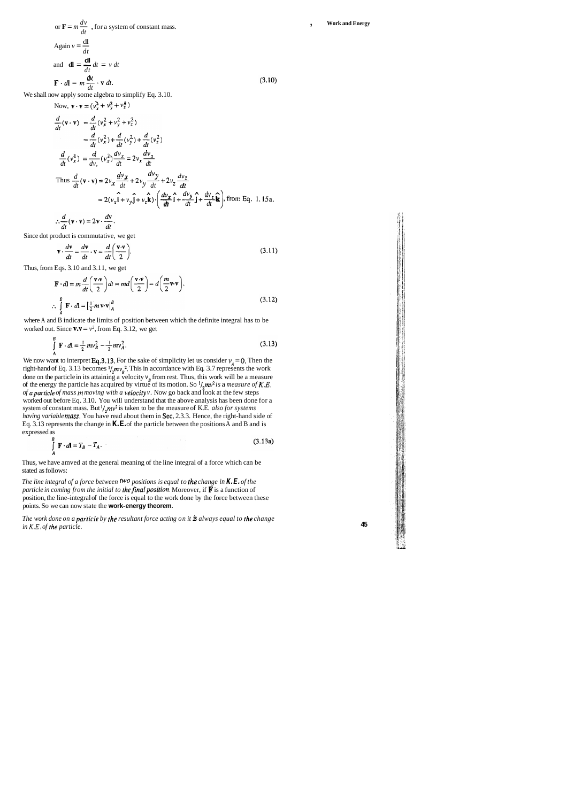$\frac{dv}{dx}$ or  $\mathbf{F} = m \frac{dv}{dt}$ , for a system of constant mass. Again  $v = \frac{dl}{dt}$ and  $\mathbf{dl} = \frac{\mathbf{dl}}{dt} dt = v dt$  $\mathbf{F} \cdot d\mathbf{l} = m \frac{dx}{dt} \cdot \mathbf{v} dt.$ 

We shall now apply some algebra to simplify Eq. 3.10.

where A and B indicate the limits of position between which the definite integral has to be worked out. Since  $\mathbf{v} \cdot \mathbf{v} = v^2$ , from Eq. 3.12, we get

$$
\int_{A}^{B} \mathbf{F} \cdot d\mathbf{l} = \frac{1}{2} m v_B^2 - \frac{1}{2} m v_A^2.
$$
 (3.13)

Now, 
$$
\mathbf{v} \cdot \mathbf{v} = (v_x^2 + v_y^2 + v_z^2)
$$
  
\n
$$
\frac{d}{dt}(\mathbf{v} \cdot \mathbf{v}) = \frac{d}{dt}(v_x^2 + v_y^2 + v_z^2)
$$
\n
$$
= \frac{d}{dt}(v_x^2) + \frac{d}{dt}(v_y^2) + \frac{d}{dt}(v_z^2)
$$
\n
$$
\frac{d}{dt}(v_x^2) = \frac{d}{dv}(v_x^2) \frac{dv_x}{dt} = 2v_x \frac{dv_x}{dt}
$$
\nThus  $\frac{d}{dt}(\mathbf{v} \cdot \mathbf{v}) = 2v_x \frac{dv_x}{dt} + 2v_y \frac{dv_y}{dt} + 2v_z \frac{dv_z}{dt}$   
\n
$$
= 2(v_x\hat{\mathbf{i}} + v_y\hat{\mathbf{j}} + v_z\hat{\mathbf{k}}) \cdot \left(\frac{dv_x}{dt}\hat{\mathbf{i}} + \frac{dv_y}{dt}\hat{\mathbf{j}} + \frac{dv_z}{dt}\hat{\mathbf{k}}\right), \text{ from Eq. 1.15a.}
$$

 $\therefore \frac{d}{dt}(\mathbf{v} \cdot \mathbf{v}) = 2\mathbf{v} \cdot \frac{d}{dt}$ 

Since dot product is commutative, we get

$$
\mathbf{v} \cdot \frac{d\mathbf{v}}{dt} = \frac{d\mathbf{v}}{dt} \cdot \mathbf{v} = \frac{d}{dt} \left( \frac{\mathbf{v} \cdot \mathbf{v}}{2} \right).
$$
 (3.1)

Thus, from Eqs. 3.10 and 3.1 1, we get

$$
\mathbf{F} \cdot d\mathbf{l} = m \frac{d}{dt} \left( \frac{\mathbf{v} \cdot \mathbf{v}}{2} \right) dt = md \left( \frac{\mathbf{v} \cdot \mathbf{v}}{2} \right) = d \left( \frac{m}{2} \mathbf{v} \cdot \mathbf{v} \right).
$$
\n
$$
\therefore \int_{A}^{B} \mathbf{F} \cdot d\mathbf{l} = \left| \frac{1}{2} m \mathbf{v} \cdot \mathbf{v} \right|_{A}^{B}
$$
\n(3.12)

We now want to interpret Eq.3.13. For the sake of simplicity let us consider  $v<sub>A</sub> = 0$ . Then the right-hand of Eq. 3.13 becomes  $\frac{1}{2}mv_p^2$ . This in accordance with Eq. 3.7 represents the work done on the particle in its attaining a velocity **v,** from rest. Thus, this work will be a measure of the energy the particle has acquired by virtue of its motion. So  $\frac{1}{2}mv^2$  is a *measure of K.E. of aparticle of mass* **m** *moving with a velociry v.* Now go back and look at the few steps worked out before Eq. 3.10. You will understand that the above analysis has been done for a system of constant mass. But <sup>1</sup>/<sub>2</sub>mv<sup>2</sup> is taken to be the measure of K.E. *also for systems having variable mass.* You have read about them in Sec. 2.3.3. Hence, the right-hand side of Eq. 3.13 represents the change in **K.E.** of the particle between the positions A and B and is expressed as

*The line integral of a force between two positions is equal to the change in K.E. of the particle in coming from the initial to the final position.* Moreover, if **F** is a function of position, the line-integral of the force is equal to the work done by the force between these points. So we can now state the **work-energy theorem.** 

*The work done on a particle by the resultant force acting on it is always equal to the change in K.E. of the particle.* **<sup>45</sup>**

 $(3.10)$ 

1)

$$
\int_{A}^{B} \mathbf{F} \cdot d\mathbf{l} = T_B - T_A. \tag{3.13a}
$$

Thus, we have amved at the general meaning of the line integral of a force which can be stated as follows: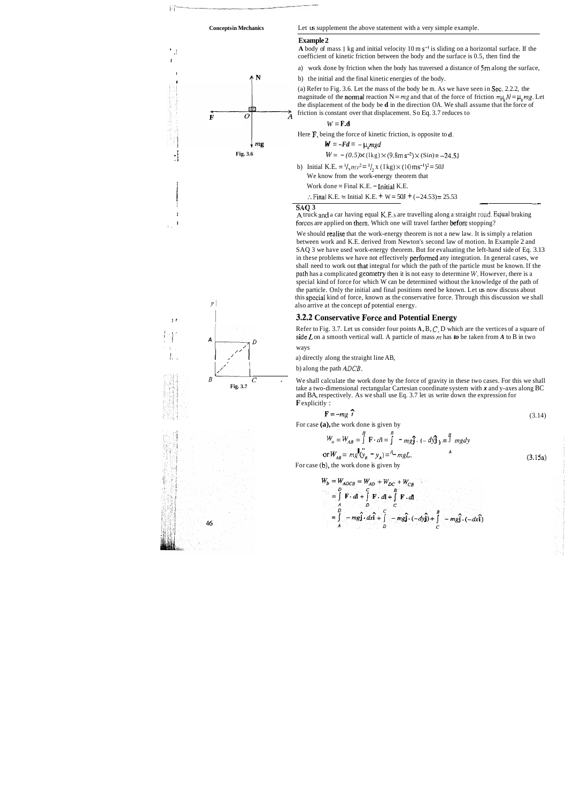

#### **Example 2**

<sup>1</sup> A body of mass 1 kg and initial velocity 10 m s<sup>-1</sup> is sliding on a horizontal surface. If the  $\frac{1}{1}$  coefficient of kinetic friction between the body and the surface is 0.5, then find the

> (a) Refer to Fig. 3.6. Let the mass of the body be m. As we have seen in Sec. 2.2.2, the magnitude of the **normal** reaction  $N = mg$  and that of the force of friction  $= \mu_k N = \mu_k mg$ . Let the displacement of the body be **d** in the direction OA. We shall assume that the force of  $\overrightarrow{F}$   $\overrightarrow{O}$   $\overrightarrow{A}$  friction is constant over that displacement. So Eq. 3.7 reduces to

 $W = \mathbf{F} \cdot \mathbf{d}$ 

a) work done by friction when the body has traversed a distance of **5m** along the surface,

 $\uparrow N$  b) the initial and the final kinetic energies of the body.

<sup>1</sup>**A** truck and a car having equal K.E.s are travelling along a straight toad. Equal braking forces are applied on them. Which one will travel farther before stopping?





We should realise that the work-energy theorem is not a new law. It is simply a relation between work and K.E. derived from Newton's second law of motion. In Example 2 and SAQ 3 we have used work-energy theorem. But for evaluating the left-hand side of Eq. 3.13 in these problems we have not effectively performed any integration. In general cases, we shall need to work out that integral for which the path of the particle must be known. If the path has a complicated geometry then it is not easy to determine W. However, there is a special kind of force for which W can be determined without the knowledge of the path of the particle. Only the initial and final positions need be known. Let us now discuss about this special kind of force, known as the conservative force. Through this discussion we shall also arrive at the concept of potential energy.

#### **I 3.2.2 Conservative Force and Potential Energy**

Refer to Fig. 3.7. Let us consider four points **A**, **B**, *C*, **D** which are the vertices of a square of side **L** on a smooth vertical wall. A particle of mass *m* has **to** be taken from A to **B** in two side L on a smooth vertical wall. A particle of mass  $m$  has to be taken from A to B in two

Here **P,** being the force of kinetic friction, is opposite to **d.** 

 $W = -Fd = -\mu_k mgd$ 

 $W = -(0.5) \times (\text{lkg}) \times (9.8 \text{m s}^{-2}) \times (\text{Sin}) = -24.5 \text{J}$ 

b) Initial K.E. =  $\frac{1}{2}mv^2 = \frac{1}{2}$ , x (I kg) × (10 ms<sup>-1</sup>)<sup>2</sup> = 50J

We know from the work-energy theorem that

Work done  $=$  Final K.E.  $-$  Initial K.E.

:. Final K.E. = Initial K.E. + W = 50J + (-24.53) = 25.53 Work done = Final K.E. - Initial K.E.<br>  $\therefore$  Final K.E. = Initial K.E. + W = 50J + (-24.53) = 25.53

**SAQ 3** 

**I** 



*B*<br> **Example 3.7**<br> **Example 3.3.7**<br> **Example 3.3.7**<br> **Example 3.3.7**<br> **Example 3.3.7**<br> **Example 3.3.7**<br> **Example 3.3.7**<br> **Example 3.3.7**<br> **Example 3.3.7**<br> **Example 3.3.7**<br> **Example 3.3.7**<br> **Example 3.4.4.5.4.8.4.9.4.8.4.8 Fig. 3.7** take a two-dimensional rectangular Cartesian coordinate system with **x** and y-axes along BC and BA, respectively. As we shall use Eq. 3.7 let us write down the expression for **F** explicitly :



b) along the path *ADCB.* 

$$
\mathbf{F} = -mg \, \hat{\mathbf{j}} \tag{3.14}
$$

For case **(a),** the work done is given by

$$
W_a = W_{AB} = \int_{0}^{B} \mathbf{F} \cdot d\mathbf{l} = \int_{0}^{B} -mg\hat{\mathbf{j}} \cdot (-d\hat{\mathbf{y}})\hat{\mathbf{j}} = \int_{0}^{B} mgdy
$$
  
or  $W_{AB} = mg \mathbf{U}_{B} \mathbf{v}_{B} - y_A = \frac{A}{mgL} \mathbf{v}_{B}$  (3.15a)

For case **(b),** the work done is given by

$$
W_b = W_{ADCB} = W_{AD} + W_{DC} + W_{CB}
$$
  
=  $\int_{A}^{D} \mathbf{F} \cdot d\mathbf{l} + \int_{D}^{B} \mathbf{F} \cdot d\mathbf{l} + \int_{C}^{B} \mathbf{F} \cdot d\mathbf{l}$   
=  $\int_{A}^{D} -mg\mathbf{j} \cdot dx\mathbf{i} + \int_{D}^{C} -mg\mathbf{j} \cdot (-dy\mathbf{j}) + \int_{C}^{B} -mg\mathbf{j} \cdot (-dx\mathbf{i})$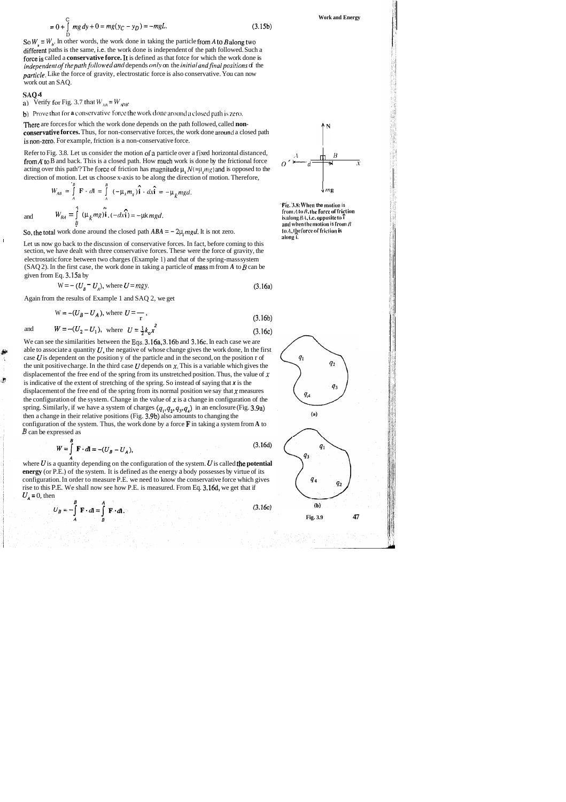$$
= 0 + \int_{D}^{C} mg dy + 0 = mg(y_C - y_D) = -mgL.
$$
 (3.15b)

So  $W_u = W_b$ . In other words, the work done in taking the particle from A to B along two different paths is the same, i.e. the work done is independent of the path followed. Such a force is called a **conservative force.** It is defined as that fotce for which the work done is independent of the path followed and depends only on the initial and final positions of the particle. Like the force of gravity, electrostatic force is also conservative. You can now work out an SAQ.

There are forces for which the work done depends on the path followed, called **non**conservative forces. Thus, for non-conservative forces, the work done around a closed path is non-zero. For example, friction is a non-conservative force.

#### **SAQ 4**

a) Verify for Fig. 3.7 that  $W_{AB} = W_{ADB}$ 

**b**) Prove that for **a** conservative force the work done around a closed path is zero.

Refer to Fig. 3.8. Let us consider the motion of a particle over a fixed horizontal distanced, from A to B and back. This is a closed path. How much work is done by the frictional force acting over this path. The force of friction has magnitude  $\mu$ ,  $N(=\mu, mg)$  and is opposed to the direction of motion. Let us choose x-axis to be along the direction of motion. Therefore,

$$
W_{AB} = \int_{A}^{B} \mathbf{F} \cdot d\mathbf{l} = \int_{A}^{B} (-\mu_k m_g) \hat{\mathbf{i}} \cdot d\hat{\mathbf{xi}} = -\mu_k mgd.
$$
  

$$
W = \int_{A}^{A} (u, m\hat{\mathbf{i}}) \cdot d\hat{\mathbf{i}} = (du, m\hat{\mathbf{i}}) \cdot d\hat{\mathbf{i}} = (du, m\hat{\mathbf{i}}) \cdot d\hat{\mathbf{i}} = (du, m\hat{\mathbf{i}}) \cdot d\hat{\mathbf{i}} = (du, m\hat{\mathbf{i}}) \cdot d\hat{\mathbf{i}} = (du, m\hat{\mathbf{i}}) \cdot d\hat{\mathbf{i}} = (du, m\hat{\mathbf{i}}) \cdot d\hat{\mathbf{i}} = (du, m\hat{\mathbf{i}}) \cdot d\hat{\mathbf{i}} = (du, m\hat{\mathbf{i}}) \cdot d\hat{\mathbf{i}} = (du, m\hat{\mathbf{i}}) \cdot d\hat{\mathbf{i}} = (du, m\hat{\mathbf{i}}) \cdot d\hat{\mathbf{i}} = (du, m\hat{\mathbf{i}}) \cdot d\hat{\mathbf{i}} = (du, m\hat{\mathbf{i}}) \cdot d\hat{\mathbf{i}} = (du, m\hat{\mathbf{i}}) \cdot d\hat{\mathbf{i}} = (du, m\hat{\mathbf{i}}) \cdot d\hat{\mathbf{i}} = (du, m\hat{\mathbf{i}}) \cdot d\hat{\mathbf{i}} = (du, m\hat{\mathbf{i}}) \cdot d\hat{\mathbf{i}} = (du, m\hat{\mathbf{i}}) \cdot d\hat{\mathbf{i}} = (du, m\hat{\mathbf{i}}) \cdot d\hat{\mathbf{i}} = (du, m\hat{\mathbf{i}}) \cdot d\hat{\mathbf{i}} = (du, m\hat{\mathbf{i}}) \cdot d\hat{\mathbf{i}} = (du, m\hat{\mathbf{i}}) \cdot d\hat{\mathbf{i}} = (du, m\hat{\mathbf{i}}) \cdot d\hat{\mathbf{i}} = (du, m\hat{\mathbf{i}}) \cdot d\hat{\mathbf{i}} = (du, m\hat{\mathbf{i}}) \cdot d\hat{\mathbf{i}} = (du, m\hat{\mathbf{i}}) \cdot d\hat{\mathbf{i}} = (du, m\hat{\mathbf{i}}) \cdot d\hat{\mathbf{i}} = (du, m\hat{\mathbf{i}}) \cdot d\hat{\mathbf{i}} = (du, m\hat{\mathbf{i}}) \cdot d\hat{\mathbf{i}} = (du, m
$$

鰰

Ò

So, the total work done around the closed path  $ABA = -2\mu_k mgd$ . It is not zero.

**Work and Energy** 

ILET US now go back to the discussion of conservative forces. In fact, before coming to this section, we have dealt with three conservative forces. These were the force of gravity, the electrostatic force between two charges (Example 1) and that of the spring-mass system (SAQ 2). In the first case, the work done in taking a particle of mass m from  $A$  to  $B$  can be given from Eq. 3.15a by

We can see the similarities between the Eqs. 3.16a, 3.16b and 3.16c. In each case we are able to associate a quantity  $U$ , the negative of whose change gives the work done, In the first case  $U$  is dependent on the position y of the particle and in the second, on the position  $r$  of the unit positive charge. In the third case  $U$  depends on  $x$ , This is a variable which gives the displacement of the free end of the spring from its unstretched position. Thus, the value of **x**  is indicative of the extent of stretching of the spring. So instead of saying that **x** is the displacement of the free end of the spring from its normal position we say that  $x$  measures the configuration of the system. Change in the value of  $x$  is a change in configuration of the spring. Similarly, if we have a system of charges  $(q_1, q_2, q_3, q_4)$  in an enclosure (Fig. 3.9a) then a change in their relative positions (Fig. 3.9b) also amounts to changing the configuration of the system. Thus, the work done by a force **F** in taking a system from **A** to *B* can be expressed as

$$
W = \int_{A} \mathbf{F} \cdot d\mathbf{l} = -(U_B - U_A), \tag{3.16d}
$$

where  $U$  is a quantity depending on the configuration of the system.  $U$  is called the **potential energy** (or P.E.) of the system. It is defined as the energy a body possesses by virtue of its configuration. In order to measure P.E. we need to know the conservative force which gives rise to this P.E. We shall now see how P.E. is measured. From Eq. 3.16d, we get that if  $U_{\lambda}$  = 0, then

$$
U_B = -\int\limits_A^B \mathbf{F} \cdot d\mathbf{l} = \int\limits_B^A \mathbf{F} \cdot d\mathbf{l}
$$

 $(3.16e)$ 



**'Fig. 3.8: When the motion is**  $1$ **from**  $A$  **to**  $B$ **, the force of frigtion** and  $W_{BA} = \int_{R} (W_k m g) \mathbf{1} \cdot (-dx \mathbf{i}) = -\mu k \, mgd.$  is along  $BA$ , i.e. opposite to  $\hat{\mathbf{i}}$  and when the motion is from and when the motion is from  $B$ <br>to  $A$ , the force of friction is along<sup>3</sup>.

$$
W = - (U_{\hat{B}} - U_{A}), \text{ where } U = mgy. \tag{3.16a}
$$

Again from the results of Example 1 and SAQ 2, we get  
\n
$$
W = -(U_B - U_A), \text{ where } U = \frac{1}{r},
$$
\n(3.16b)

and 
$$
W = -(U_2 - U_1)
$$
, where  $U = \frac{1}{2}k_0x^2$  (3.16c)

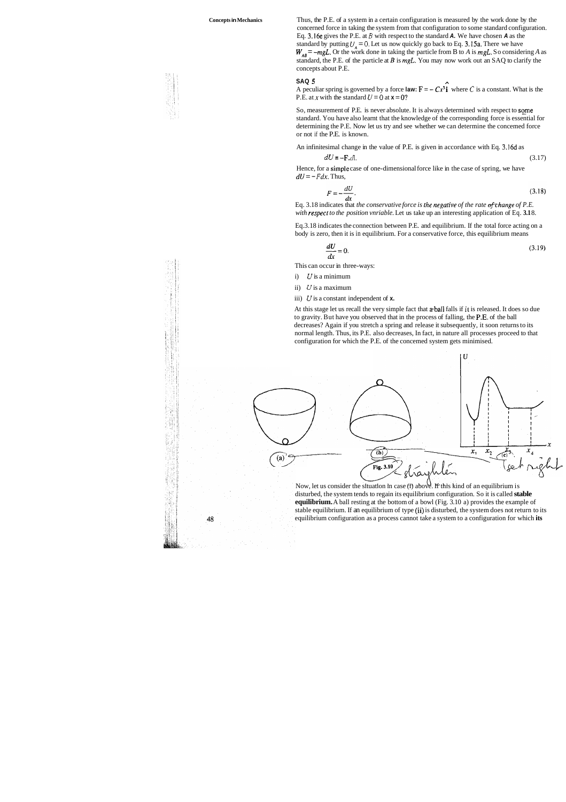

**Concepts in Mechanics** Thus, the P.E. of a system in a certain configuration is measured by the work done by the concerned force in taking the system from that configuration to some standard configuration. Eq. 3.16e gives the P.E. at *B* with respect to the standard **A.** We have chosen **A** as the standard by putting  $U_A = 0$ . Let us now quickly go back to Eq. 3.15a. There we have  $W_{AB}$  = -mgL. Or the work done in taking the particle from B to *A* is *mgL*. So considering *A* as standard, the P.E. of the particle at *B* is *mgL.* You may now work out an SAQ to clarify the concepts about P.E.

> So, measurement of P.E. is never absolute. It is always determined with respect to some standard. You have also learnt that the knowledge of the corresponding force is essential for determining the P.E. Now let us try and see whether we can determine the concemed force or not if the P.E. is known.

Hence, for a simple case of one-dimensional force like in the case of spring, we have  $dU = -Fdx$ . Thus,

$$
F = -\frac{dU}{dx}.
$$
\n(3.18)

#### **SAQ 5 A**

A peculiar spring is governed by a force law:  $\mathbf{F} = -Cx^3$  i where *C* is a constant. What is the P.E. at x with the standard  $U = 0$  at  $\mathbf{x} = 0$ ?

Eq. 3.18 indicates that *the conservative force is the negative of the rate of thange of P.E. with respect to the position vnriable.* Let us take up an interesting application of Eq. **3.1** 8.

An infinitesimal change in the value of P.E. is given in accordance with Eq. 3.16d as

$$
dU = -\mathbf{F} \cdot d\mathbf{I}.\tag{3.17}
$$

Eq.3.18 indicates the connection between P.E. and equilibrium. If the total force acting on a body is zero, then it is in equilibrium. For a conservative force, this equilibrium means

$$
\frac{dU}{dx} = 0.\tag{3.19}
$$

This can occur in three-ways:

i) *U* is a minimum

ii) *U* is a maximum

iii) *U* is a constant independent of **x.** 

At this stage let us recall the very simple fact that a-ball falls if **it** is released. It does so due to gravity. But have you observed that in the process of falling, the P.E. of the ball decreases? Again if you stretch a spring and release it subsequently, it soon returns to its normal length. Thus, its P.E. also decreases, In fact, in nature all processes proceed to that configuration for which the P.E. of the concemed system gets minimised.



Now, let us consider the situation in case (i) above. If this kind of an equilibrium is disturbed, the system tends to regain its equilibrium configuration. So it is called **stable equilibrium.** A ball resting at the bottom of a bowl (Fig. 3.10 a) provides the example of stable equilibrium. If an equilibrium of type (ii) is disturbed, the system does not return to its equilibrium configuration as a process cannot take a system to a configuration for which **its** 

48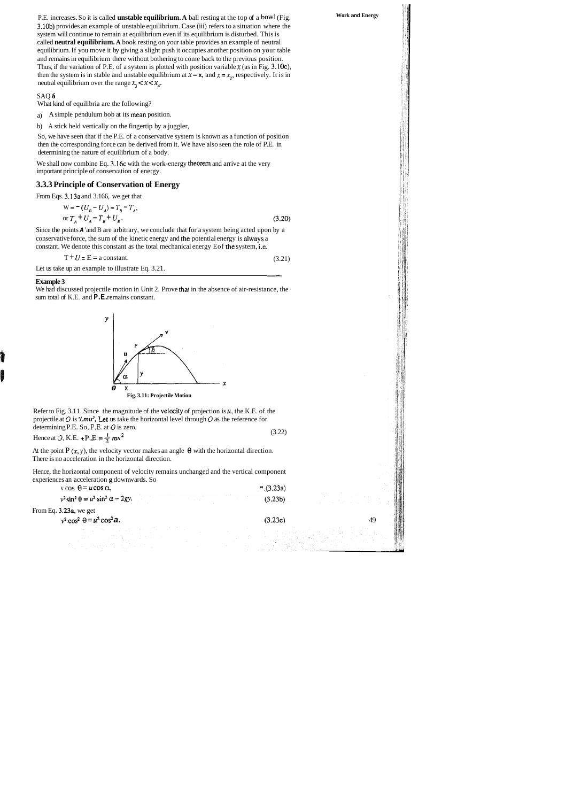We shall now combine Eq. 3.16c with the work-energy theorem and arrive at the very important principle of conservation of energy.

Since the points **A** 'and B are arbitrary, we conclude that for a system being acted upon by a conservative force, the sum of the kinetic energy and the potential energy is always a constant. We denote this constant as the total mechanical energy Eof the system, i.e.  $(3.21)$ 

 $T + U = E = a constant.$  (3.21)

P.E. increases. So it is called **unstable equilibrium. A** ball resting at the top of a bowl (Fig. 3.10b) provides an example of unstable equilibrium. Case (iii) refers to a situation where the system will continue to remain at equilibrium even if its equilibrium is disturbed. This is called **neutral equilibrium. A** book resting on your table provides an example of neutral equilibrium. If you move it by giving a slight push it occupies another position on your table and remains in equilibrium there without bothering to come back to the previous position. Thus, if the variation of P.E. of a system is plotted with position variable **x** (as in Fig. 3.10c), then the system is in stable and unstable equilibrium at  $x = x$ , and  $x = x$ , respectively. It is in neutral equilibrium over the range  $x_1 < x < x_4$ .

#### SAQ **6**

What kind of equilibria are the following?

a) A simple pendulum bob at its mean position.

We had discussed projectile motion in Unit 2. Prove that in the absence of air-resistance, the sum total of K.E. and  $P$ .E. remains constant.

b) A stick held vertically on the fingertip by a juggler,

So, we have seen that if the P.E. of a conservative system is known as a function of position then the corresponding force can be derived from it. We have also seen the role of P.E. in determining the nature of equilibrium of a body.

At the point  $P(x, y)$ , the velocity vector makes an angle  $\theta$  with the horizontal direction. There is no acceleration in the horizontal direction.

#### **3.3.3 Principle of Conservation of Energy**

From Eqs. 3.13a and 3.166, we get that

$$
W = - (U_B - U_A) = T_B - T_A,
$$
  
or  $T_A + U_A = T_B + U_B$ . (3.20)

Let us take up an example to illustrate Eq. 3.21.

#### **Example 3**



**Work and Energy** 

Refer to Fig. 3.1 1. Since the magnitude of the velocity of projection is **u,** the K.E. of the projectile at **0** is **'/,mu2,** let us take the horizontal level through 0 as the reference for determining P.E. So, P.E. at **0** is zero.

Hence at  $\varphi$ , K.E.  $\pm P$ .E.  $\pm \frac{1}{2} m u^2$  (3.22)

Hence, the horizontal component of velocity remains unchanged and the vertical component experiences an acceleration **g** downwards. So

| $v \cos \theta = u \cos \alpha$ ,              | (3.23a) |    |
|------------------------------------------------|---------|----|
| $v^2 \sin^2 \theta = u^2 \sin^2 \alpha - 2gy.$ | (3.23b) |    |
| From Eq. $3.23a$ , we get                      |         |    |
| $v^2 \cos^2 \theta = u^2 \cos^2 \theta$ .      | (3.23c) | 49 |
| 그는 사람들이 아직 사람들이 나서 사람들이 많이 있다.                 |         |    |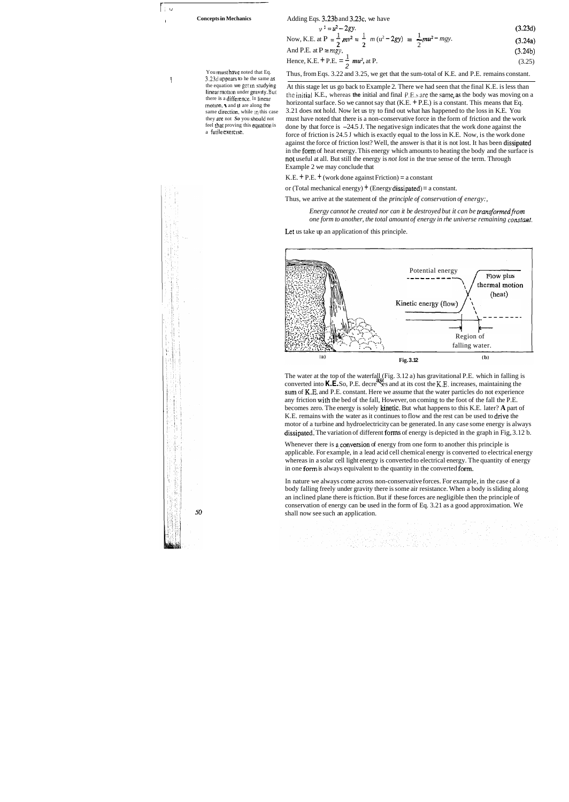-- fr- **Ld** 

You must have noted that Eq. 1 3.23d appears to he the same as the equation we get in studying linear motion under gravity. But there is a difference. In linear rnotlon, \. and **u** are along the same direction, while in this case they are not *So* you should not feel that proving this equation is a futile exercise.



<sup>I</sup>**Concepts in Mechanics** 

Adding Eqs.  $3.23b$  and  $3.23c$ , we have

| $v^2 = u^2 - 2gy$ .                                                                      | (3.23d) |
|------------------------------------------------------------------------------------------|---------|
| Now, K.E. at P = $\frac{1}{2}mv^2 = \frac{1}{2} m(v^2 - 2gy) = \frac{1}{2} mu^2 - mgy$ . | (3.24a) |
|                                                                                          | (3.24b) |
| And P.E. at P = mgy.<br>Hence, K.E. + P.E. = $\frac{1}{2}$ mu <sup>2</sup> , at P.       | (3.25)  |

Thus, from Eqs. 3.22 and 3.25, we get that the sum-total of K.E. and P.E. remains constant.

At this stage let us go back to Example 2. There we had seen that the final K.E. is less than thc initial K.E., whereas **the** initial and final P.E.s are the same,as the body was moving on a horizontal surface. So we cannot say that  $(K.E. + P.E.)$  is a constant. This means that Eq. 3.21 does not hold. Now let us try to find out what has happened to the loss in K.E. You must have noted that there is a non-conservative force in the form of friction and the work done by that force is  $-24.5$  J. The negative sign indicates that the work done against the force of friction is 24.5 J which is exactly equal to the loss in K.E. Now, is the work done against the force of friction lost? Well, the answer is that it is not lost. It has been dissipated in the form of heat energy. This energy which amounts to heating the body and the surface is not useful at all. But still the energy is *not lost* in the true sense of the term. Through Example 2 we may conclude that

K.E.  $+$  P.E.  $+$  (work done against Friction) = a constant

or (Total mechanical energy)  $+$  (Energy dissipated) = a constant.

Whenever there is a conversion of energy from one form to another this principle is applicable. For example, in a lead acid cell chemical energy is converted to electrical energy whereas in a solar cell light energy is converted to electrical energy. The quantity of energy in one form is always equivalent to the quantity in the converted form.

Thus, we arrive at the statement of the *principle of conservation of energy:,* 

Energy cannot he created nor can it be destroyed but it can be transformed from *one form to another, the total amount of energy in rhe universe remaining constant.* 

Let us take up an application of this principle.



The water at the top of the waterfall (Fig. 3.12 a) has gravitational P.E. which in falling is converted into **K.E.**So, P.E. decre<sup>ss</sup>es and at its cost the K.E. increases, maintaining the sum of K.E. and P.E. constant. Here we assume that the water particles do not experience any friction with the bed of the fall, However, on coming to the foot of the fall the P.E. becomes zero. The energy is solely kinetic. But what happens to this K.E. later? **A** part of K.E. remains with the water as it continues to flow and the rest can be used to drive the motor of a turbine and hydroelectricity can be generated. In any case some energy is always dissipated. The variation of different forms of energy is depicted in the graph in Fig, 3.12 b.

In nature we always come across non-conservative forces. For example, in the case of a body falling freely under gravity there is some air resistance. When a body is sliding along an inclined plane there is ftiction. But if these forces are negligible then the principle of conservation of energy can be used in the form of Eq. 3.21 as a good approximation. We shall now see such an application.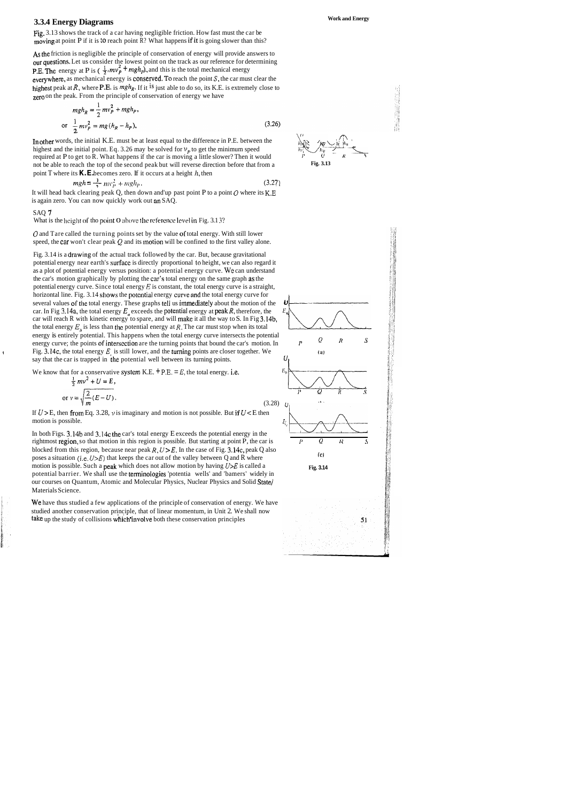# **3.3.4 Energy Diagrams Work and Energy**

Fig. 3.13 shows the track of a car having negligible friction. How fast must the car be moving at point P if it is to reach point  $\mathbb{R}$ ? What happens if it is going slower than this?

In other words, the initial K.E. must be at least equal to the difference in P.E. between the highest and the initial point. Eq. 3.26 may be solved for  $v_p$  to get the minimum speed required at P to get to R. What happens if the car is moving a little slower? Then it would not be able to reach the top of the second peak but will reverse direction before that from a **Fig. 3.13**  point T where its  $\mathbf{K} \cdot \mathbf{E}$  becomes zero. If it occurs at a height  $h$ , then

As the friction is negligible the principle of conservation of energy will provide answers to our questions. Let us consider the lowest point on the track as our reference for determining **P.E.** The energy at P is ( $\frac{1}{2}$ *mv<sub>P</sub>* + *mgh<sub>p</sub>*), and this is the total mechanical energy everywhere, as mechanical energy is conserved. To reach the point  $S$ , the car must clear the highest peak at  $R$ , where **P.E.** is  $mgh_R$ . If it <sup>is</sup> just able to do so, its K.E. is extremely close to zero on the peak. From the principle of conservation of energy we have

It will head back clearing peak Q, then down and'up past point P to a point  $O$  where its K.E is again zero. You can now quickly work out an SAQ.

$$
mgh_R = \frac{1}{2}mv_P^2 + mgh_P,
$$
  
or 
$$
\frac{1}{2}mv_P^2 = mg(h_R - h_P),
$$
 (3.26)

0 and Tare called the turning points set by the value of total energy. With still lower speed, the car won't clear peak  $Q$  and its motion will be confined to the first valley alone.

Fig. 3.14 is a drawing of the actual track followed by the car. But, because gravitational potential energy near earth's surfacc is directly proportional **to** height, we can also regard it as a plot of potential energy versus position: a potential energy curve. We can understand the car's motion graphically by plotting the car's total energy on the same graph as the potential energy curve. Since total energy *E* is constant, the total energy curve is a straight, horizontal line. Fig. 3.14 shows the potential energy curve and the total energy curve for several values of the total energy. These graphs tell us immediately about the motion of the car. In Fig 3.14a, the total energy  $E<sub>n</sub>$  exceeds the potential energy at peak R, therefore, the car will reach R with kinetic energy to spare, and will makc it all the way to S. In Fig 3.14b, energy is entirely potential. This happens when the total energy curve intersects the potential the total energy  $E_{\mu}$  is less than the potential energy at R. The car must stop when energy curve; the points of intersection are the turning points that bound the car's motion. In  $\mathbf{F}$  Fig. 3.14c, the total energy  $E_j$  is still lower, and the turning points are closer together. We (a) say that the car is trapped in the potential well between its turning points.

We know that for a conservative system K.E.  $+$  P.E. =  $E$ , the total energy. i.e.





$$
mgh = \frac{1}{2} m v_p^2 + mgh_p. \tag{3.27}
$$

#### SAQ **7**

What is the height of tho point O above the reference level in Fig. 3.1 3?

rightmost region, so that motion in this region is possible. But starting at point P, the car is  $P$   $Q$   $R$ blocked from this region, because near peak  $R$ ,  $U > E$ . In the case of Fig. 3.14c, peak Q also poses a situation (i.e.  $U > E$ ) that keeps the car out of the valley between Q and R where (c) motion is possible. Such a **peak** which does not allow motion by having  $U \geq E$  is called a **Fig. 3.14** potential barrier. We shall use the terminologies 'potentia wells' and 'bamers' widely in our courses on Quantum, Atomic and Molecular Physics, Nuclear Physics and Solid State/ Materials Science.

We have thus studied a few applications of the principle of conservation of energy. We have studied another conservation principle, that of linear momentum, in Unit 2. We shall now take up the study of collisions which'involve both these conservation principles







$$
\frac{1}{2}mv^2 + U = E,
$$
  
or  $v = \sqrt{\frac{2}{m}(E - U)}$ . (3.28)

If  $U > E$ , then from Eq. 3.28,  $\nu$  is imaginary and motion is not possible. But if  $U < E$  then<br>motion is possible.<br>In both Figs. 3.14b and 3.14c the car's total energy E exceeds the potential energy in the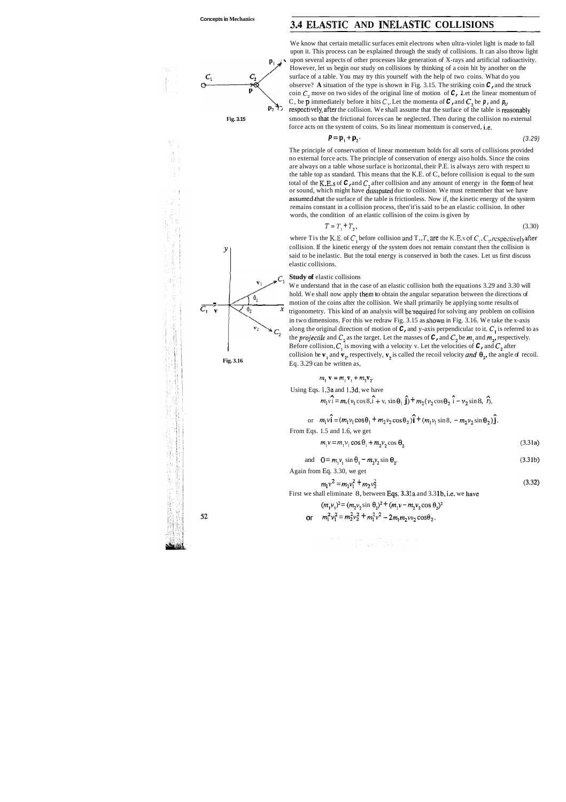# **3.4 ELASTIC AND INELASTIC COLLISIONS**



We know that certain metallic surfaces emit electrons when ultra-violet light is made to fall upon it. This process can be explained through the study of collisions. It can also throw light  $\mathbf{p}_1$  v upon several aspects of other processes like generation of X-rays and artificial radioactivity. However, let us begin our study on collisions by thinking of a coin hit by another on the surface of a table. You may try this yourself with the help of two coins. What do you observe? **A** situation of the type is shown in Fig. 3.15. The striking coin **C,** and the struck coin  $C_2$  move on two sides of the original line of motion of  $C$ , Let the linear momentum of <br>  $C$ , be  $p$  immediately before it hits  $C_2$ . Let the momenta of  $C_1$  and  $C_2$  be  $p$ , and  $p_1$ ,<br>  $\therefore$  respectively, aft C, be **p** immediately before it hits  $C_2$ . Let the momenta of **C**, and **C**, be **p**, and **p**<sub>*u*</sub> **Fig. 3.15** smooth so that the frictional forces can be neglected. Then during the collision no external force acts on the system of coins. So its linear momentum is conserved, i.e.

$$
\mathbf{p} = \mathbf{p}_1 + \mathbf{p}_2. \tag{3.29}
$$

where Tis the K.E. of  $C_1$  before collision and T,, *T*, are the K.E.s of  $C_1$ ,  $C_2$ , respectively after collision. If the kinetic energy of the system does not remain constant then the collision is said to be inelastic. But the total energy is conserved in both the cases. Let us first discuss elastic collisions.

We understand that in the case of an elastic collision both the equations 3.29 and 3.30 will hold. We shall now apply them to obtain the angular separation between the directions of We understand that in the case of an elastic collision both the equations 3.29 and 3.30<br>hold. We shall now apply them to obtain the angular separation between the directions<br>motion of the coins after the collision. We sha  $\overline{C_1}$   $\overline{C_2}$   $\overline{C_3}$   $\overline{C_4}$   $\overline{C_5}$   $\overline{C_6}$   $\overline{C_7}$   $\overline{C_8}$   $\overline{C_9}$   $\overline{C_8}$   $\overline{C_9}$   $\overline{C_9}$   $\overline{C_9}$   $\overline{C_9}$   $\overline{C_9}$   $\overline{C_9}$   $\overline{C_9}$   $\overline{C_9}$   $\overline{C_9}$   $\overline{C_9}$  in two dimensions. For this we redraw Fig. 3.15 as shown in Fig. 3.16. We take the x-axis along the original direction of motion of **C,** and y-axis perpendicular to it. **C,** is referred to as the *projectile* and  $C_2$  as the target. Let the masses of **C**, and  $C_2$  be  $m_1$  and  $m_2$ , respectively. Before collision,  $C_1$  is moving with a velocity v. Let the velocities of  $C$ , and  $C_2$  after collision be  $\mathbf{v}_1$  and  $\mathbf{v}_2$ , respectively,  $\mathbf{v}_2$  is called the recoil velocity *and*  $\mathbf{\theta}_2$ , the angle of recoil. **Fig. 3.16 Eq. 3.29 can be written as,** 

$$
m_1 \mathbf{v} = m_1 \mathbf{v}_1 + m_2 \mathbf{v}_2.
$$

The principle of conservation of linear momentum holds for all sorts of collisions provided no external force acts. The principle of conservation of energy aiso holds. Since the coins are always on a table whose surface is horizontal, their P.E. is always zero with respect to the table top as standard. This means that the K.E. of C, before collision is equal to the sum total of the K.E.s of **C,** and **C,** after collision and any amount of energy in the form of heat or sound, which might have dissipated due to collision. We must remember that we have assumed.that the surface of the table is frictionless. Now if, the kinetic energy of the system remains constant in a collision process, then'it'is said to be an elastic collision. In other words, the condition of an elastic collision of the coins is given by

$$
T = T_1 + T_2,\tag{3.30}
$$

#### *C,* **Study of** elastic collisions

Using Eqs. 1.3a and 1.3d, we have  
\n
$$
m_1v_1 = m, (v_1 \cos \theta, i + v, \sin \theta_1 \hat{j}) + m_2(v_2 \cos \theta_2 \hat{i} - v_2 \sin \theta_2 \hat{j}),
$$

or  $m_1v_1 = (m_1v_1\cos\theta_1 + m_2v_2\cos\theta_2)\hat{i} + (m_1v_1\sin\theta_2 - m_2v_2\sin\theta_2)\hat{j}.$ 

From Eqs. 1.5 and 1.6, we get

$$
m_1 v = m_1 v_1 \cos \theta_1 + m_2 v_2 \cos \theta_2 \tag{3.31a}
$$

and 
$$
\mathbf{0} = m_1 v_1 \sin \theta_1 - m_2 v_2 \sin \theta_2.
$$
 (3.31b)

Again from Eq. 3.30, we get

$$
m_1 v^2 = m_1 v_1^2 + m_2 v_2^2 \tag{3.32}
$$

First we shall eliminate 8, between Eqs. **3.3 la** and 3.3 lb, i.e. we have

$$
(m_1v_1)^2 = (m_2v_2\sin\theta_2)^2 + (m_1v - m_2v_2\cos\theta_2)^2
$$

or  $m_1^2 v_1^2 = m_2^2 v_2^2 + m_1^2 v^2 - 2m_1 m_2 v v_2 \cos \theta_2$ .

52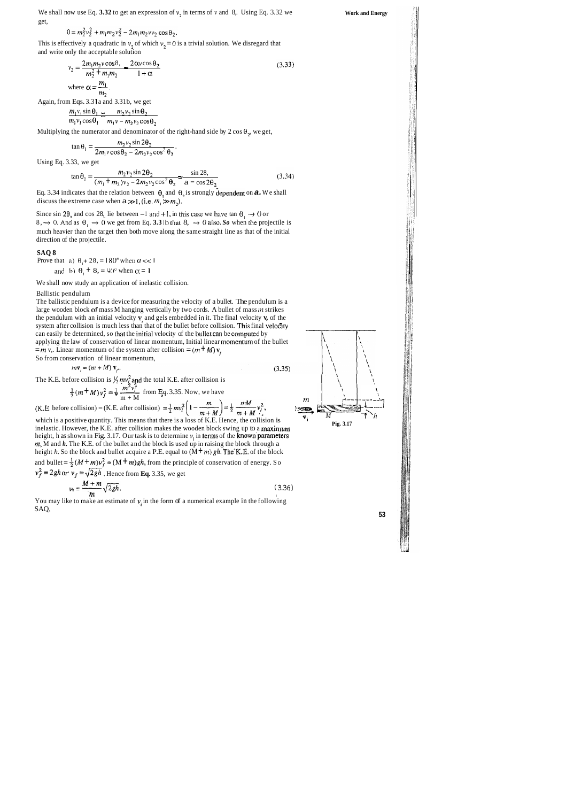We shall now use Eq.  $3.32$  to get an expression of  $v_2$  in terms of v and 8,. Using Eq. 3.32 we get,

$$
0 = m_2^2 v_2^2 + m_1 m_2 v_2^2 - 2 m_1 m_2 v v_2 \cos \theta_2.
$$

This is effectively a quadratic in  $v_2$ , of which  $v_2 = 0$  is a trivial solution. We disregard that and write only the acceptable solution

$$
v_2 = \frac{2m_1m_2 \text{v}\cos 8}{m_2^2 + m_1m_2} = \frac{2\alpha \text{v}\cos \theta_2}{1 + \alpha}
$$
\n
$$
\text{where } \alpha = \frac{m_1}{m_2}.
$$
\n(3.33)

Again, from Eqs. 3.31a and 3.31b, we get

$$
\frac{m_1v_1\sin\theta_1}{m_1v_1\cos\theta_1}\frac{m_2v_2\sin\theta_2}{m_1v-m_2v_2\cos\theta_2}
$$

Multiplying the numerator and denominator of the right-hand side by  $2 \cos \theta_2$ , we get,

$$
\tan \theta_1 = \frac{m_2 v_2 \sin 2\theta_2}{2m_1 v \cos \theta_2 - 2m_2 v_2 \cos^2 \theta_2}.
$$

Since sin 2 $\theta_2$  and cos 28, lie between -1 and +1, in this case we have tan  $\theta_1 \rightarrow 0$  or 8,  $\rightarrow$  0. And as  $\theta_1 \rightarrow 0$  we get from Eq. 3.3 lb that 8,  $\rightarrow 0$  also. So when the projectile is much heavier than the target then both move along the same straight line as that of the initial direction of the projectile.

Using Eq. 3.33, we get

$$
\tan \theta_1 = \frac{m_2 v_2 \sin 2\theta_2}{(m_1 + m_2)v_2 - 2m_2 v_2 \cos^2 \theta_2} = \frac{\sin 28}{a - \cos 2\theta_2}
$$
(3.34)

Eq. 3.34 indicates that the relation between  $\theta$ , and  $\theta$ , is strongly dependent on  $a$ . We shall discuss the extreme case when  $a \gg 1$ , (i.e.  $m_1 \gg m_2$ ).

#### **SAQ 8**

Prove that a)  $\theta_1 + 28 = 180^\circ$  when  $a \ll 1$ and b)  $\theta_1 + 8 = 90^\circ$  when  $\alpha = 1$ 

We shall now study an application of inelastic collision.

#### Ballistic pendulum

You may like to make an estimate of  $\nu$  in the form of a numerical example in the following SAQ, **53** 

The ballistic pendulum is a device for measuring the velocity of a bullet. The pendulum is a large wooden block of mass M hanging vertically by two cords. A bullet of mass *m* strikes the pendulum with an initial velocity **v,** and gels embedded in it. The final velocity **v,** of the system after collision is much less than that of the bullet before collision. This final velocity can easily be determined, so that the initial velocity of the bullet can be computed by  $=m v$ ,. Linear momentum of the system after collision =  $(m + M) v$ applying the law of conservation of linear momentum, Initial linear So from conservation of linear momentum,

$$
mv_j = (m + M) v_j. \tag{3.35}
$$

The K.E. before collision is  $\frac{1}{2}mv_i^2$  and the total K.E. after collision is



$$
\frac{1}{2}(m+M)v_f^2 = \frac{1}{2} \frac{m^2 v_i^2}{m+M}
$$
 from Eq. 3.35. Now, we have

(K,E, before collision)  $-(K.E.$  after collision)  $=\frac{1}{2}mv_i^2\left(1-\frac{m}{m+M}\right)=\frac{1}{2}\frac{mM}{m+M}v_i^2$ , which is a positive quantity. This means that there is a loss of K.E. Hence, the collision is  $V_i = \frac{M}{\text{Fig. 3.17}}}$ inelastic. However, the K.E. after collision makes the wooden block swing up to a maximum height, h as shown in Fig. 3.17. Our task is to determine  $v_i$  in terms of the known parameters **m,** M and *h.* The K.E. of the bullet and the block is used up in raising the block through a height *h*. So the block and bullet acquire a P.E. equal to  $(M + m) gh$ . The K.E. of the block and bullet =  $\frac{1}{2}(M + m)v_f^2$  =  $(M + m)gh$ , from the principle of conservation of energy. So  $v_f^2 = 2gh$  or  $v_f = \sqrt{2gh}$ . Hence from **Eq.** 3.35, we get  $v_1 = \frac{M+m}{m}\sqrt{2gh}$ . (3.36)  $\mathbf{m}$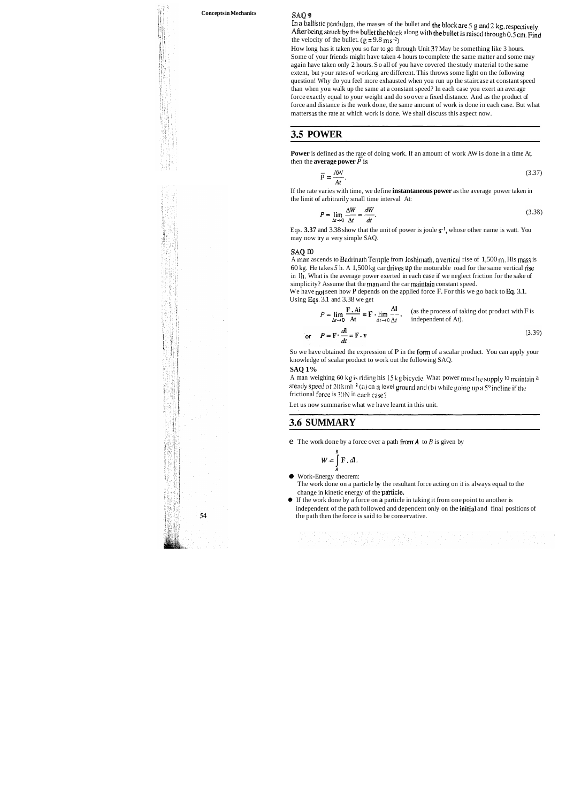### **Concepts in Mechanics** SAQ **<sup>9</sup>**

In a ballistic pendulum, the masses of the bullet and the block are 5 **g** and 2 kg, respectively. After being struck by the bullet the block along with the bullet is raised through  $0.5$  cm. Find the velocity of the bullet.  $(g = 9.8 \text{ m s}^{-2})$ 

How long has it taken you so far to go through Unit 3? May be something like 3 hours. Some of your friends might have taken 4 hours to complete the same matter and some may again have taken only 2 hours. So all of you have covered the study material to the same extent, but your rates of working are different. This throws some light on the following question! Why do you feel more exhausted when you run up the staircase at constant speed than when you walk up the same at a constant speed? In each case you exert an average force exactly equal to your weight and do so over a fixed distance. And as the product of force and distance is the work done, the same amount of work is done in each case. But what matters is the rate at which work is done. We shall discuss this aspect now.

Eqs.  $3.37$  and  $3.38$  show that the unit of power is joule  $s^{-1}$ , whose other name is watt. You may now try a very simple SAQ.

#### **saQ m**

A man ascends to Badrinath Temple from Joshimath, a vertical rise of  $1,500$  m. His mass is 60 kg. He takes *5* h. A 1,500 kg car drives up the motorable road for the same vertical rise in Ih. What is the average power exerted in each case if we neglect friction for the sake of simplicity? Assume that the man and the car maintain constant speed.

We have not seen how P depends on the applied force F. For this we go back to Eq. 3.1. Using Eqs. 3.1 and 3.38 we get

# **3.5 POWER**

### **3.6 SUMMARY**

**Power** is defined as the rate of doing work. If an amount of work AW is done in a time At,

then the **average power** P is  
\n
$$
\overline{p} = \frac{AW}{At}.
$$
\n(3.37)

If the rate varies with time, we define **instantaneous power** as the average power taken in the limit of arbitrarily small time interval At:

$$
P = \lim_{\Delta t \to 0} \frac{\Delta W}{\Delta t} = \frac{dW}{dt}.
$$
\n(3.38)

The work done on a particle by the resultant force acting on it is always equal to the change in kinetic energy of the particle.

It is the average power exerted in each case if we neglect friction for the sake of  
\n'Assume that the man and the car maintain constant speed.  
\n**3.1** and 3.38 we get  
\n
$$
P = \lim_{\Delta t \to 0} \frac{\mathbf{F} \cdot \mathbf{A} \mathbf{i}}{\Delta t} = \mathbf{F} \cdot \lim_{\Delta t \to 0} \frac{\Delta \mathbf{l}}{\Delta t},
$$
 (as the process of taking dot product with F is independent of At).

$$
\text{or} \qquad P = \mathbf{F} \cdot \frac{d\mathbf{l}}{dt} = \mathbf{F} \cdot \mathbf{v} \tag{3.39}
$$

So we have obtained the expression of P in the form of a scalar product. You can apply your knowledge of scalar product to work out the following SAQ.

#### **SAQ 1%**

A man weighing 60 kg is riding his 15 kg bicycle. What power must he supply to maintain a steady speed of 20 kmh<sup>-1</sup> (a) on a level ground and (b) while going up a 5° incline if the frictional force is  $30N$  in each case?

Let us now summarise what we have learnt in this unit.

e The work done by a force over a path fromA to *B* is given by

가지 이 영화는 이렇게 전화 회의 학생이 있다. 그 일이 있어요?<br>이 당신은 인간의 공부 대통령 호텔 대통령이 필요하였다.

$$
W=\int\limits_A^B \mathbf{F} \cdot d\mathbf{l}.
$$

**9** Work-Energy theorem:

**9** If the work done by a force on **a** particle in taking it from one point to another is independent of the path followed and dependent only on the initial and final positions of the path then the force is said to be conservative.

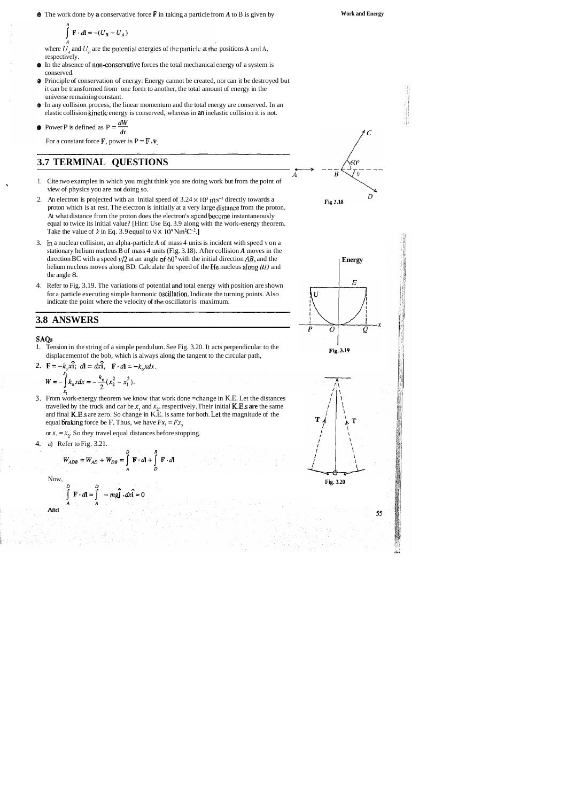@ The work done by **a** conservative force **F** in taking a particle from *A* to B is given by

where  $U_A$  and  $U_B$  are the potential energies of the particle at the positions **A** and **A**, respectively.

- **0** In the absence of non-conservative forces the total mechanical energy of a system is conserved.
- @ Principle of conservation of energy: Energy cannot be created, nor can it be destroyed but it can be transformed from one form to another, the total amount of energy in the universe remaining constant.
- @ In any collision process, the linear momentum and the total energy are conserved. In an elastic collision kinetlc energy is conserved, whereas in **an** inelastic collision it is not. • In any collision process, the linear elastic collision kinetic energy is constant.<br>
• Power P is defined as  $P = \frac{dW}{dt}$

• Power P is defined as 
$$
P = \frac{dW}{dt}
$$

For a constant force  $\mathbf{F}$ , power is  $\mathbf{P} = \mathbf{F} \cdot \mathbf{v}$ ,

# **3.7 TERMINAL QUESTIONS**

1. Tension in the string of a simple pendulum. See Fig. 3.20. It acts perpendicular to the displacement of the bob, which is always along the tangent to the circular path,

2.  $F = -k_0x\hat{i}$ ;  $dI = dx\hat{i}$ ,  $F \cdot dl = -k_0xdx$ .

$$
W = -\int_{0}^{2} k_0 x dx = -\frac{k_0}{2} (x_2^2 - x_1^2).
$$

XI 3. From work-energy theorem we know that work done =change in K.E. Let the distances travelled by the truck and car be  $x_1$ , and  $x_2$ , respectively. Their initial **K.E.s are** the same and final K.E.s are zero. So change in K.E. is same for both. Let the magnitude of the equal braking force be F. Thus, we have  $Fx_1 = Fx_2$ 

or  $x_1 = x_2$ . So they travel equal distances before stopping.

- 1. Cite two examples in which you might think you are doing work but from the point of **<sup>I</sup>** view of physics you are not doing so.
- 2. An electron is projected with an initial speed of  $3.24 \times 10^5$  m s<sup>-1</sup> directly towards a proton which is at rest. The electron is initially at a very large distalice from the proton. At what distance from the proton does the electron's speed become instantaneously equal to twice its initial value? [Hint: Use Eq. 3.9 along with the work-energy theorem. Take the value of  $k$  in Eq. 3.9 equal to 9  $\times$  10<sup>°</sup> Nm<sup>2</sup>C<sup>-2</sup>.
- 3. **h** a nuclear collision, an alpha-particle *A* of mass 4 units is incident with speed v on a stationary helium nucleus B of mass 4 units (Fig. 3.18). After collision *A* moves in the direction BC with a speed  $v/2$  at an angle of 60° with the initial direction AB, and the helium nucleus moves along BD. Calculate the speed of the He nucleus along *BD* and the angle 8.
- 4. Refer to Fig. 3.19. The variations of potential snd total energy with position are shown for a particle executing simple harmonic oscillation. Indicate the turning points. Also indicate the point where the velocity of the oscillator is maximum.

# **3.8 ANSWERS**

#### **SAQs**

4. a) Refer to Fig. 3.21.

$$
W_{ADB} = W_{AD} + W_{DB} = \int_{0}^{D} \mathbf{F} \cdot d\mathbf{l} + \int_{0}^{B} \mathbf{F} \cdot d
$$

Now,

And

$$
\int_{a}^{D} \mathbf{F} \cdot d\mathbf{l} = \int_{a}^{D} -mg\hat{\mathbf{j}} \cdot dx\hat{\mathbf{i}} = 0
$$



$$
\int_{A}^{B} \mathbf{F} \cdot d\mathbf{l} = -(U_B - U_A)
$$





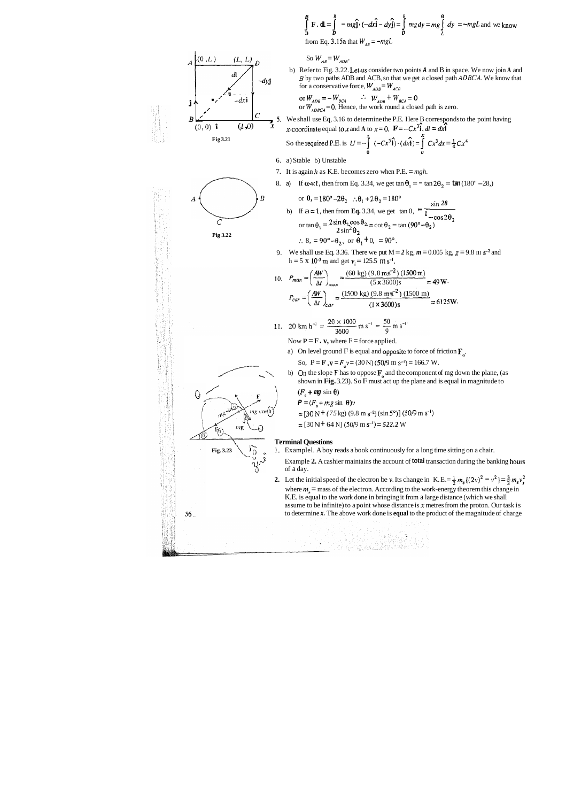$$
\int_{3}^{B} \mathbf{F} \cdot \mathbf{d} = \int_{D}^{B} -mg\hat{\mathbf{j}} \cdot (-dx\hat{\mathbf{i}} - dy\hat{\mathbf{j}}) = \int_{D}^{B} mg\,dy = mg\int_{L}^{0} dy = -mgL \text{ and we know}
$$
  
from Eq. 3.15a that  $W_{AB} = -mgL$ 

So  $W_{AB} = W_{ADB}$ .

b) Refer to Fig. 3.22. Let.us consider two points **A** and B in space. We now join **A** and *B* by two paths ADB and ACB, so that we get a closed path **ADBCA.** We know that for a conservative force,  $W_{ADB} = W_{ACB}$ 

**Fig 3.21** So the required P.E. is  $U = -\int_{0}^{x} (-Cx^{3}\hat{i}) \cdot (dx\hat{i}) = \int_{0}^{x} Cx^{3} dx = \frac{1}{4}Cx^{4}$ **0 0** 

$$
-dx\hat{\mathbf{i}}
$$
 or  $W_{ADB} = -W_{BCA}$   $\therefore$   $W_{ADB} + W_{BCA} = 0$   
or  $W_{1DBCA} = 0$ . Hence, the work round a closed path



*<sup>B</sup>*,' , **5** We shall use Eq, 3.16 to determine the P.E. Here B corresponds to the point having **A n**  (0,O) **E** ,-coordinate equal tox and **A** to **x** = 0. **F** = *-Cx3i, dl* = **dxi** 

6. a) Stable b) Unstable

- 7. It is again *h* as K.E. becomes zero when P.E. = *mgh.*
- 

or 
$$
\theta_1 = 180^\circ - 2\theta_2
$$
  $\therefore \theta_1 + 2\theta_2 = 180^\circ$ 

- (0, 0) **f** (*L*,0) **x**<br>
Fig 3.21<br>
So the required P.E. is  $U = -\int_{0}^{x} (-Cx^3 \hat{i}) \cdot (dx \hat{i}) = \int_{0}^{x} Cx^3 dx = \frac{1}{4}Cx^4$ <br>
6. a) Stable b) Unstable<br>
7. It is again *h* as K.E. becomes zero when P.E. = mg*h*.<br>
8. a) If  $\alpha \ll 1$ , th *B* or **0,** = 180° -2 $\theta_2$  :  $\theta_1 + 2\theta_2 = 180$ °  $\frac{\sin 28}{1 - \cos 2\theta_2}$ <br>b) If  $a = 1$ , then from Eq. 3.34, we get  $\tan 0$ ,  $= \frac{\sin 28}{1 - \cos 2\theta_2}$ Fig 3.22<br>
Pig 3.22<br>  $\cos \theta_1 = 2 \sin \theta_2 \cos \theta_2 = \cot \theta_2 = \tan (90^\circ - \theta_2)$ <br>  $2 \sin^2 \theta_2 = 2 \cos \theta_2 = \tan (90^\circ - \theta_2)$ :.  $8 = 90^\circ - \theta_2$ , or  $\theta_1 + 0 = 90^\circ$ .
	- 9. We shall use Eq. 3.36. There we put  $M = 2$  kg,  $m = 0.005$  kg,  $g = 9.8$  m s<sup>-2</sup> and  $h = 5 \times 10^{-3}$  m and get  $v_i = 125.5$  m s<sup>-1</sup>.

shown in **Fig.** 3.23). So F must act up the plane and is equal in magnitude to b) On the slope F has to oppose  $\mathbf{F}_0$  and the component of mg down the plane, (as shown in Fig. 3.23). So F must act up the plane and is equal in magnitude to  $(F_0 + mg \sin \theta)$ 

- $P = (F_0 + mg \sin \theta)v$
- $=$  [30 N + (75 kg) (9.8 m s<sup>-2</sup>) (sin 5<sup>o</sup>)] (50/9 m s<sup>-1</sup>)
- $=$   $[30$ N + 64 N]  $(50/9$  m s<sup>-1</sup> $)=$  522.2 W

- 
- **Fig. 3.23** 1. Examplel. A boy reads a book continuously for a long time sitting on a chair.<br>Example 2. A cashier maintains the account of **total** transaction during the bar Example 2. A cashier maintains the account of total transaction during the banking hours of a day.
	- **2.** Let the initial speed of the electron be **v**. Its change in K. E. =  $\frac{1}{2} m_e$  {(2v)<sup>2</sup>  $v^2$ } =  $\frac{3}{2} m_e v_i^2$ where  $m<sub>e</sub>$  = mass of the electron. According to the work-energy theorem this change in K.E. is equal to the work done in bringing it from a large distance (which we shall assume to be infinite) to a point whose distance is **x** metres from the proton. Our task is to determine **x.** The above work done is **equal** to the product of the magnitude of charge

10. 
$$
P_{man} = \left(\frac{AW}{\Delta t}\right)_{man} = \frac{(60 \text{ kg}) (9.8 \text{ m.s}^{-2}) (1500 \text{ m})}{(5 \times 3600) \text{s}} = 49 \text{ W}.
$$
  
 $P_{car} = \left(\frac{AW}{\Delta t}\right)_{car} = \frac{(1500 \text{ kg}) (9.8 \text{ m/s}^{-2}) (1500 \text{ m})}{(1 \times 3600) \text{s}} = 6125 \text{ W}.$ 

1. 20 km h<sup>-1</sup> = 
$$
\frac{20 \times 1000}{3600}
$$
 m s<sup>-1</sup> =  $\frac{50}{9}$  m s<sup>-1</sup>

Now  $P = F \cdot v$ , where  $F =$  force applied.

a) On level ground F is equal and opposite to force of friction  $\mathbf{F}_a$ .

So,  $P = F \cdot v = F_0 v = (30 \text{ N}) (50/9 \text{ m s}^{-1}) = 166.7 \text{ W}.$ 



#### **Terminal Questions**